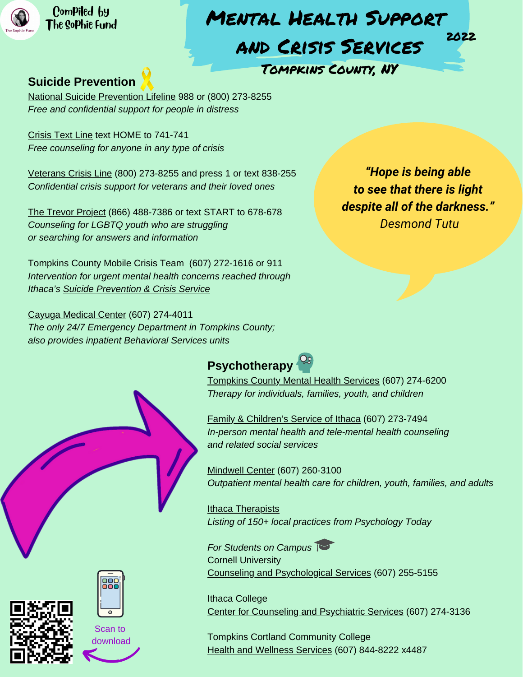

Compiled by The [Sophie](http://www.thesophiefund.org/) Fund

## Mental Health Support and Crisis Services Tompkins County, NY 2022

#### **Suicide Prevention**

National Suicide [Prevention](https://suicidepreventionlifeline.org/) Lifeline 988 or (800) 273-8255 *Free and confidential support for people in distress*

[Crisis](https://www.crisistextline.org/) Text Line text HOME to 741-741 *Free counseling for anyone in any type of crisis*

[Veterans](https://www.veteranscrisisline.net/) Crisis Line (800) 273-8255 and press 1 or text 838-255 *Confidential crisis support for veterans and their loved ones*

The Trevor [Project](https://www.thetrevorproject.org/) (866) 488-7386 or text START to 678-678 *Counseling for LGBTQ youth who are struggling or searching for answers and information*

Tompkins County Mobile Crisis Team (607) 272-1616 or 911 *[Interventio](https://tompkinscountyny.gov/mh/crisis)n for urgent mental health concerns reached through Ithaca's Suicide [Prevention](https://ithacacrisis.org/) & Crisis Service*

Cayuga [Medical](https://www.cayugamed.org/) Center (607) 274-4011 *The only 24/7 Emergency Department in Tompkins County; also provides inpatient Behavioral Services units*

*"Hope is being able to see that there is light despite all of the darkness." Desmond Tutu*



[Tompkins](https://www.tompkinscountyny.gov/mh) County Mental Health Services (607) 274-6200 *Therapy for individuals, families, youth, and children*

Family & [Children's](https://www.fcsith.org/) Service of Ithaca (607) 273-7494 *In-person mental health and tele-mental health counseling and related social services*

[Mindwell](https://www.mindwellcenter.com/) Center (607) 260-3100 *Outpatient mental health care for children, youth, families, and adults*

**Ithaca [Therapists](https://www.psychologytoday.com/us/therapists/ny/ithaca)** *Listing of 150+ local practices from Psychology Today*

*For Students on Campus* Cornell University Counseling and [Psychological](https://health.cornell.edu/services/mental-health-care) Services (607) 255-5155

Ithaca College Center for [Counseling](https://www.ithaca.edu/center-counseling-and-psychological-services) and Psychiatric Services (607) 274-3136

Tompkins Cortland Community College Health and [Wellness](https://www.tompkinscortland.edu/campus-life/health-and-wellness-services) Services (607) 844-8222 x4487





Scan to download